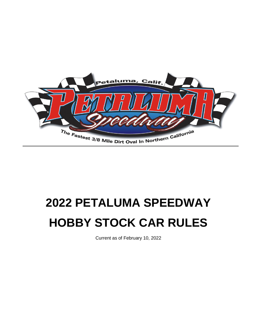

# **2022 PETALUMA SPEEDWAY HOBBY STOCK CAR RULES**

Current as of February 10, 2022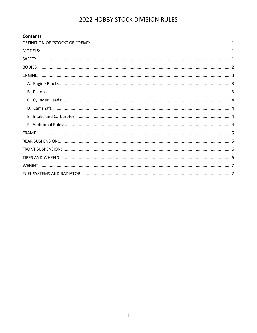#### **Contents**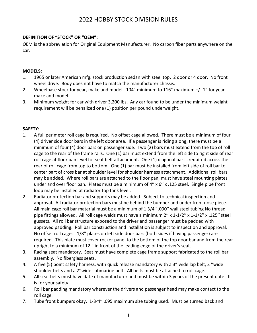## <span id="page-2-0"></span>**DEFINITION OF "STOCK" OR "OEM":**

OEM is the abbreviation for Original Equipment Manufacturer. No carbon fiber parts anywhere on the car.

#### <span id="page-2-1"></span>**MODELS:**

- 1. 1965 or later American mfg. stock production sedan with steel top. 2 door or 4 door. No front wheel drive. Body does not have to match the manufacturer chassis.
- 2. Wheelbase stock for year, make and model. 104" minimum to 116" maximum +/- 1" for year make and model.
- 3. Minimum weight for car with driver 3,200 lbs. Any car found to be under the minimum weight requirement will be penalized one (1) position per pound underweight.

#### <span id="page-2-2"></span>**SAFETY:**

- 1. A full perimeter roll cage is required. No offset cage allowed. There must be a minimum of four (4) driver side door bars in the left door area. If a passenger is riding along, there must be a minimum of four (4) door bars on passenger side. Two (2) bars must extend from the top of roll cage to the rear of the frame rails. One (1) bar must extend from the left side to right side of rear roll cage at floor pan level for seat belt attachment. One (1) diagonal bar is required across the rear of roll cage from top to bottom. One (1) bar must be installed from left side of roll bar to center part of cross bar at shoulder level for shoulder harness attachment. Additional roll bars may be added. Where roll bars are attached to the floor pan, must have steel mounting plates under and over floor pan. Plates must be a minimum of 4" x 6" x .125 steel. Single pipe front loop may be installed at radiator top tank level.
- 2. Radiator protection bar and supports may be added. Subject to technical inspection and approval. All radiator protection bars must be behind the bumper and under front nose piece. All main cage roll bar material must be a minimum of 1 3/4′′ .090′′ wall steel tubing No thread pipe fittings allowed. All roll cage welds must have a minimum 2" x 1-1/2" x 1-1/2" x .125" steel gussets. All roll bar structure exposed to the driver and passenger must be padded with approved padding. Roll bar construction and installation is subject to inspection and approval. No offset roll cages. 1/8′′ plates on left side door bars (both sides if having passenger) are required. This plate must cover rocker panel to the bottom of the top door bar and from the rear upright to a minimum of 12 " in front of the leading edge of the driver's seat.
- 3. Racing seat mandatory. Seat must have complete cage frame support fabricated to the roll bar assembly. No fiberglass seats.
- 4. A five (5) point safety harness, with quick release mandatory with a 3" wide lap belt, 3 ′′wide shoulder belts and a 2′′wide submarine belt. All belts must be attached to roll cage.
- 5. All seat belts must have date of manufacturer and must be within 3 years of the present date. It is for your safety.
- 6. Roll bar padding mandatory wherever the drivers and passenger head may make contact to the roll cage.
- 7. Tube front bumpers okay. 1-3⁄4′′ .095 maximum size tubing used. Must be turned back and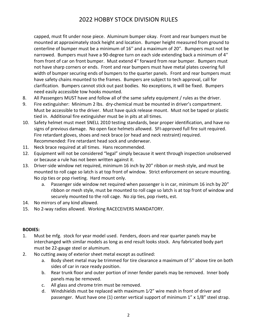capped, must fit under nose piece. Aluminum bumper okay. Front and rear bumpers must be mounted at approximately stock height and location. Bumper height measured from ground to centerline of bumper must be a minimum of 16′′ and a maximum of 20′′. Bumpers must not be narrowed. Bumpers must have a 90-degree turn on each side extending back a minimum of 4′′ from front of car on front bumper. Must extend 4′′ forward from rear bumper. Bumpers must not have sharp corners or ends. Front and rear bumpers must have metal plates covering full width of bumper securing ends of bumpers to the quarter panels. Front and rear bumpers must have safety chains mounted to the frames. Bumpers are subject to tech approval, call for clarification. Bumpers cannot stick out past bodies. No exceptions, it will be fixed. Bumpers need easily accessible tow hooks mounted.

- 8. All Passengers MUST have and follow all of the same safety equipment / rules as the driver.
- 9. Fire extinguisher: Minimum 2 lbs. dry-chemical must be mounted in driver's compartment. Must be accessible to the driver. Must have quick release mount. Must not be taped or plastic tied in. Additional fire extinguisher must be in pits at all times.
- 10. Safety helmet must meet SNELL 2010 testing standards, bear proper identification, and have no signs of previous damage. No open face helmets allowed. SFI-approved full fire suit required. Fire retardant gloves, shoes and neck brace (or head and neck restraint) required. Recommended: Fire retardant head sock and underwear.
- 11. Neck brace required at all times. Hans recommended.
- 12. Equipment will not be considered "legal" simply because it went through inspection unobserved or because a rule has not been written against it.
- 13. Driver-side window net required, minimum 16 inch by 20" ribbon or mesh style, and must be mounted to roll cage so latch is at top front of window. Strict enforcement on secure mounting. No zip ties or pop riveting. Hard mount only.
	- a. Passenger side window net required when passenger is in car, minimum 16 inch by 20" ribbon or mesh style, must be mounted to roll cage so latch is at top front of window and securely mounted to the roll cage. No zip ties, pop rivets, est.
- 14. No mirrors of any kind allowed.
- 15. No 2-way radios allowed. Working RACECEIVERS MANDATORY.

## <span id="page-3-0"></span>**BODIES:**

- 1. Must be mfg. stock for year model used. Fenders, doors and rear quarter panels may be interchanged with similar models as long as end result looks stock. Any fabricated body part must be 22-gauge steel or aluminum.
- 2. No cutting away of exterior sheet metal except as outlined:
	- a. Body sheet metal may be trimmed for tire clearance a maximum of 5′′ above tire on both sides of car in race ready position.
	- b. Rear trunk floor and outer portion of inner fender panels may be removed. Inner body panels may be removed.
	- c. All glass and chrome trim must be removed.
	- d. Windshields must be replaced with maximum 1⁄2" wire mesh in front of driver and passenger. Must have one (1) center vertical support of minimum 1" x 1/8" steel strap.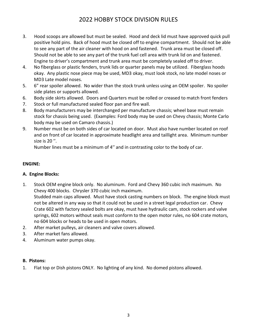- 3. Hood scoops are allowed but must be sealed. Hood and deck lid must have approved quick pull positive hold pins. Back of hood must be closed off to engine compartment. Should not be able to see any part of the air cleaner with hood on and fastened. Trunk area must be closed off. Should not be able to see any part of the trunk fuel cell area with trunk lid on and fastened. Engine to driver's compartment and trunk area must be completely sealed off to driver.
- 4. No fiberglass or plastic fenders, trunk lids or quarter panels may be utilized. Fiberglass hoods okay. Any plastic nose piece may be used, MD3 okay, must look stock, no late model noses or MD3 Late model noses.
- 5. 6" rear spoiler allowed. No wider than the stock trunk unless using an OEM spoiler. No spoiler side plates or supports allowed.
- 6. Body side skirts allowed. Doors and Quarters must be rolled or creased to match front fenders
- 7. Stock or full manufactured sealed floor pan and fire wall.
- 8. Body manufacturers may be interchanged per manufacture chassis; wheel base must remain stock for chassis being used. (Examples: Ford body may be used on Chevy chassis; Monte Carlo body may be used on Camaro chassis.)
- 9. Number must be on both sides of car located on door. Must also have number located on roof and on front of car located in approximate headlight area and taillight area. Minimum number size is 20 ′′.

Number lines must be a minimum of 4′′ and in contrasting color to the body of car.

#### <span id="page-4-0"></span>**ENGINE:**

#### <span id="page-4-1"></span>**A. Engine Blocks:**

- 1. Stock OEM engine block only. No aluminum. Ford and Chevy 360 cubic inch maximum. No Chevy 400 blocks. Chrysler 370 cubic inch maximum. Studded main caps allowed. Must have stock casting numbers on block. The engine block must not be altered in any way so that it could not be used in a street legal production car. Chevy Crate 602 with factory sealed bolts are okay, must have hydraulic cam, stock rockers and valve springs, 602 motors without seals must conform to the open motor rules, no 604 crate motors, no 604 blocks or heads to be used in open motors.
- 2. After market pulleys, air cleaners and valve covers allowed.
- 3. After market fans allowed.
- 4. Aluminum water pumps okay.

#### <span id="page-4-2"></span>**B. Pistons:**

1. Flat top or Dish pistons ONLY. No lighting of any kind. No domed pistons allowed.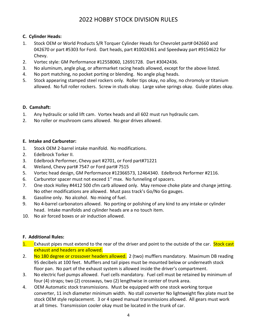## <span id="page-5-0"></span>**C. Cylinder Heads:**

- 1. Stock OEM or World Products S/R Torquer Cylinder Heads for Chevrolet part# 042660 and 042670 or part #5303 for Ford. Dart heads, part #10024361 and Speedway part #9154622 for Chevy.
- 2. Vortec style: GM Performance #12558060, 12691728. Dart #3042436.
- 3. No aluminum, angle plug, or aftermarket racing heads allowed, except for the above listed.
- 4. No port matching, no pocket porting or blending. No angle plug heads.
- 5. Stock appearing stamped steel rockers only. Roller tips okay, no alloy, no chromoly or titanium allowed. No full roller rockers. Screw in studs okay. Large valve springs okay. Guide plates okay.

## <span id="page-5-1"></span>**D. Camshaft:**

- 1. Any hydraulic or solid lift cam. Vortex heads and all 602 must run hydraulic cam.
- 2. No roller or mushroom cams allowed. No gear drives allowed.

## <span id="page-5-2"></span>**E. Intake and Carburetor:**

- 1. Stock OEM 2-barrel intake manifold. No modifications.
- 2. Edelbrock Torker II.
- 3. Edelbrock Performer, Chevy part #2701, or Ford part#71221
- 4. Weiland, Chevy part# 7547 or Ford part# 7515
- 5. Vortec head design, GM Performance #12366573, 12464340. Edelbrock Performer #2116.
- 6. Carburetor spacer must not exceed 1′′ max. No funneling of spacers.
- 7. One stock Holley #4412 500 cfm carb allowed only. May remove choke plate and change jetting. No other modifications are allowed. Must pass track's Go/No Go gauges.
- 8. Gasoline only. No alcohol. No mixing of fuel.
- 9. No 4-barrel carbonators allowed. No porting or polishing of any kind to any intake or cylinder head. Intake manifolds and cylinder heads are a no touch item.
- 10. No air forced boxes or air induction allowed.

## <span id="page-5-3"></span>**F. Additional Rules:**

- 1. Exhaust pipes must extend to the rear of the driver and point to the outside of the car. Stock cast exhaust and headers are allowed.
- 2. No 180 degree or crossover headers allowed. 2 (two) mufflers mandatory. Maximum DB reading 95 decibels at 100 feet. Mufflers and tail pipes must be mounted below or underneath stock floor pan. No part of the exhaust system is allowed inside the driver's compartment.
- 3. No electric fuel pumps allowed. Fuel cells mandatory. Fuel cell must be retained by minimum of four (4) straps; two (2) crossways, two (2) lengthwise in center of trunk area.
- 4. OEM Automatic stock transmissions. Must be equipped with one stock working torque converter, 11 inch diameter minimum width. No stall converter No lightweight flex plate must be stock OEM style replacement. 3 or 4 speed manual transmissions allowed. All gears must work at all times. Transmission cooler okay must be located in the trunk of car.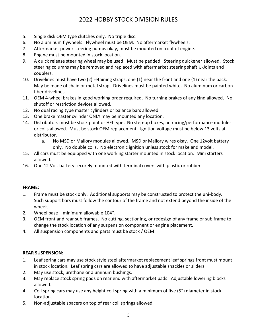- 5. Single disk OEM type clutches only. No triple disc.
- 6. No aluminum flywheels. Flywheel must be OEM. No aftermarket flywheels.
- 7. Aftermarket power steering pumps okay, must be mounted on front of engine.
- 8. Engine must be mounted in stock location.
- 9. A quick release steering wheel may be used. Must be padded. Steering quickener allowed. Stock steering columns may be removed and replaced with aftermarket steering shaft U-Joints and couplers.
- 10. Drivelines must have two (2) retaining straps, one (1) near the front and one (1) near the back. May be made of chain or metal strap. Drivelines must be painted white. No aluminum or carbon fiber drivelines.
- 11. OEM 4-wheel brakes in good working order required. No turning brakes of any kind allowed. No shutoff or restriction devices allowed.
- 12. No dual racing type master cylinders or balance bars allowed.
- 13. One brake master cylinder ONLY may be mounted any location.
- 14. Distributors must be stock point or HEI type. No step-up boxes, no racing/performance modules or coils allowed. Must be stock OEM replacement. Ignition voltage must be below 13 volts at distributor.
	- a. No MSD or Mallory modules allowed. MSD or Mallory wires okay. One 12volt battery only. No double coils. No electronic ignition unless stock for make and model.
- 15. All cars must be equipped with one working starter mounted in stock location. Mini starters allowed.
- 16. One 12 Volt battery securely mounted with terminal covers with plastic or rubber.

## <span id="page-6-0"></span>**FRAME:**

- 1. Frame must be stock only. Additional supports may be constructed to protect the uni-body. Such support bars must follow the contour of the frame and not extend beyond the inside of the wheels.
- 2. Wheel base minimum allowable 104".
- 3. OEM front and rear sub frames. No cutting, sectioning, or redesign of any frame or sub frame to change the stock location of any suspension component or engine placement.
- 4. All suspension components and parts must be stock / OEM.

## <span id="page-6-1"></span>**REAR SUSPENSION:**

- 1. Leaf spring cars may use stock style steel aftermarket replacement leaf springs front must mount in stock location. Leaf spring cars are allowed to have adjustable shackles or sliders.
- 2. May use stock, urethane or aluminum bushings.
- 3. May replace stock spring pads on rear end with aftermarket pads. Adjustable lowering blocks allowed.
- 4. Coil spring cars may use any height coil spring with a minimum of five (5") diameter in stock location.
- 5. Non-adjustable spacers on top of rear coil springs allowed.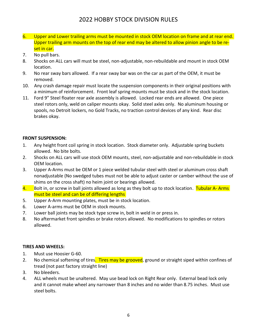- 6. Upper and Lower trailing arms must be mounted in stock OEM location on frame and at rear end. Upper trailing arm mounts on the top of rear end may be altered to allow pinion angle to be reset in car.
- 7. No pull bars.
- 8. Shocks on ALL cars will must be steel, non-adjustable, non-rebuildable and mount in stock OEM location.
- 9. No rear sway bars allowed. If a rear sway bar was on the car as part of the OEM, it must be removed.
- 10. Any crash damage repair must locate the suspension components in their original positions with a minimum of reinforcement. Front leaf spring mounts must be stock and in the stock location.
- 11. Ford 9" Steel floater rear axle assembly is allowed. Locked rear ends are allowed. One piece steel rotors only, weld on caliper mounts okay. Solid steel axles only. No aluminum housing or spools, no Detroit lockers, no Gold Tracks, no traction control devices of any kind. Rear disc brakes okay.

#### <span id="page-7-0"></span>**FRONT SUSPENSION:**

- 1. Any height front coil spring in stock location. Stock diameter only. Adjustable spring buckets allowed. No bite bolts.
- 2. Shocks on ALL cars will use stock OEM mounts, steel, non-adjustable and non-rebuildable in stock OEM location.
- 3. Upper A-Arms must be OEM or 1 piece welded tubular steel with steel or aluminum cross shaft nonadjustable (No swedged tubes must not be able to adjust caster or camber without the use of shims on the cross shaft) no heim joint or bearings allowed.
- 4. Bolt in, or screw in ball joints allowed as long as they bolt up to stock location. Tubular A-Arms must be steel and can be of differing lengths
- 5. Upper A-Arm mounting plates, must be in stock location.
- 6. Lower A-arms must be OEM in stock mounts.
- 7. Lower ball joints may be stock type screw in, bolt in weld in or press in.
- 8. No aftermarket front spindles or brake rotors allowed. No modifications to spindles or rotors allowed.

#### <span id="page-7-1"></span>**TIRES AND WHEELS:**

- 1. Must use Hoosier G-60.
- 2. No chemical softening of tires. Tires may be grooved, ground or straight siped within confines of tread (not past factory straight line)
- 3. No bleeders.
- 4. ALL wheels must be unaltered. May use bead lock on Right Rear only. External bead lock only and it cannot make wheel any narrower than 8 inches and no wider than 8.75 inches. Must use steel bolts.